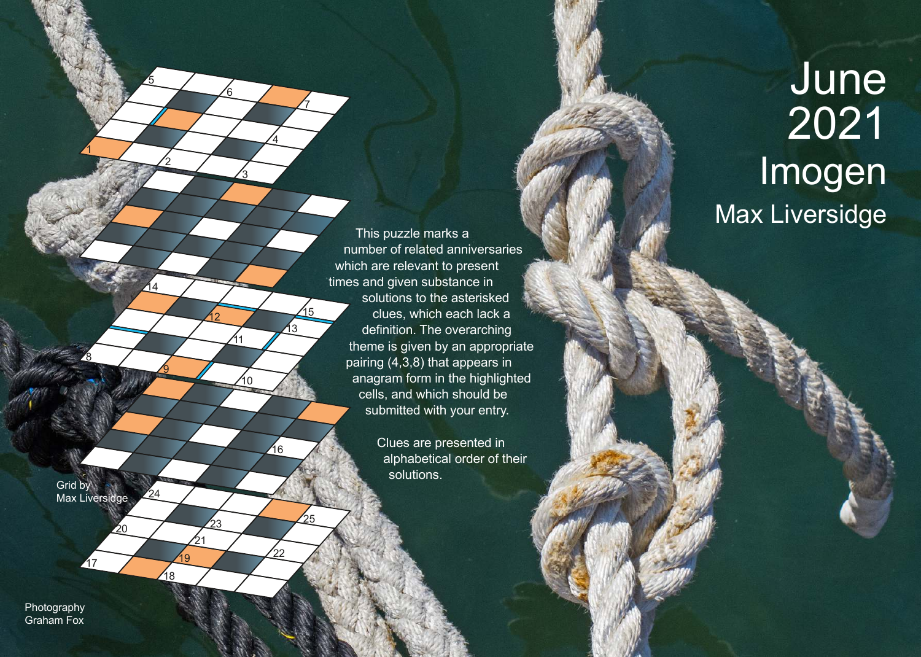This puzzle marks a number of related anniversaries which are relevant to present times and given substance in solutions to the asterisked clues, which each lack a definition. The overarching theme is given by an appropriate pairing (4,3,8) that appears in anagram form in the highlighted cells, and which should be submitted with your entry.

> Clues are presented in alphabetical order of their solutions.

Grid by Max Liversidge

217

20

8

1

2

<u>ପ</u>

<u>14</u>

24

18

 $\underline{19}$ 

 $21$ 

5

3

<u>6</u>

4

7

16

15

13

10

11

12

<sup>23</sup> <sup>25</sup>

 $^{'}22$ 

Photography Graham Fox

## June 2021 Imogen Max Liversidge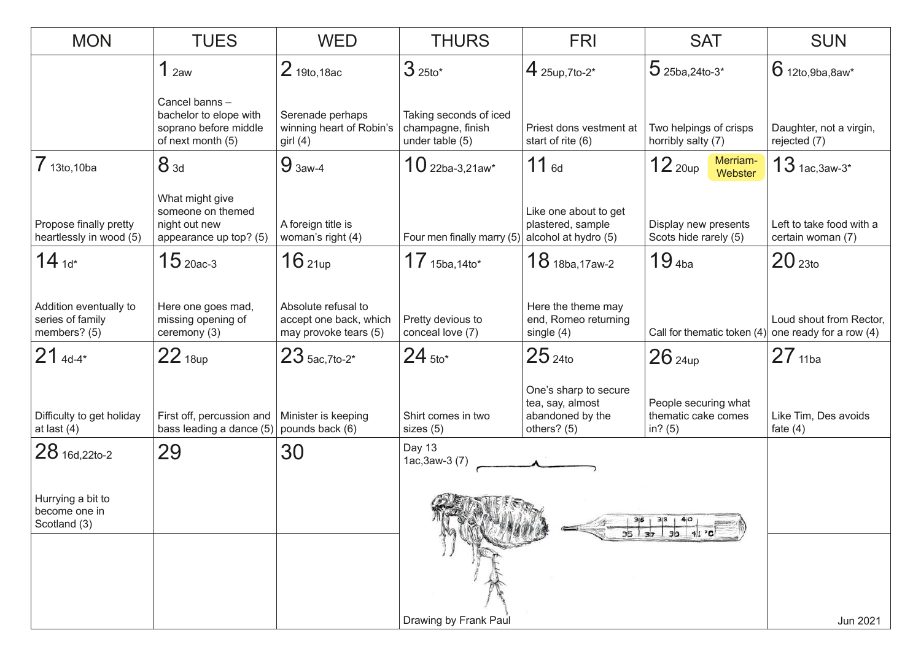| <b>MON</b>                                                 | <b>TUES</b>                                                                           | <b>WED</b>                                                             | <b>THURS</b>                                                   | <b>FRI</b>                                                                     | <b>SAT</b>                                               | <b>SUN</b>                                    |
|------------------------------------------------------------|---------------------------------------------------------------------------------------|------------------------------------------------------------------------|----------------------------------------------------------------|--------------------------------------------------------------------------------|----------------------------------------------------------|-----------------------------------------------|
|                                                            | 1 <sub>2aw</sub>                                                                      | 2 19to, 18ac                                                           | $325$ to*                                                      | 4 $25up,7to-2*$                                                                | $5$ 25ba, 24to-3*                                        | $6$ 12to, 9ba, 8aw*                           |
|                                                            | Cancel banns-<br>bachelor to elope with<br>soprano before middle<br>of next month (5) | Serenade perhaps<br>winning heart of Robin's<br>girl $(4)$             | Taking seconds of iced<br>champagne, finish<br>under table (5) | Priest dons vestment at<br>start of rite (6)                                   | Two helpings of crisps<br>horribly salty (7)             | Daughter, not a virgin,<br>rejected (7)       |
| $7$ 13to, 10ba                                             | $8_{3d}$                                                                              | $93aw-4$                                                               | $10$ 22ba-3,21aw*                                              | $11_{6d}$                                                                      | Merriam-<br>$12$ 20up<br>Webster                         | $13$ 1ac, 3aw-3*                              |
| Propose finally pretty<br>heartlessly in wood (5)          | What might give<br>someone on themed<br>night out new<br>appearance up top? (5)       | A foreign title is<br>woman's right (4)                                | Four men finally marry (5)                                     | Like one about to get<br>plastered, sample<br>alcohol at hydro (5)             | Display new presents<br>Scots hide rarely (5)            | Left to take food with a<br>certain woman (7) |
| $14_{1d*}$                                                 | $15$ 20ac-3                                                                           | 16 <sub>21up</sub>                                                     | $17_{15ba,14to*}$                                              | $18$ 18ba, 17aw-2                                                              | 19 <sub>4ba</sub>                                        | 20 <sub>23to</sub>                            |
| Addition eventually to<br>series of family<br>members? (5) | Here one goes mad,<br>missing opening of<br>ceremony (3)                              | Absolute refusal to<br>accept one back, which<br>may provoke tears (5) | Pretty devious to<br>conceal love (7)                          | Here the theme may<br>end, Romeo returning<br>single $(4)$                     | Call for thematic token $(4)$ one ready for a row $(4)$  | Loud shout from Rector,                       |
| $21_{4d-4*}$                                               | $22$ <sub>18up</sub>                                                                  | $23$ 5ac, 7to-2*                                                       | $24$ 5to*                                                      | $25$ 24to                                                                      | $26$ 24up                                                | $27_{11ba}$                                   |
| Difficulty to get holiday<br>at last $(4)$                 | First off, percussion and<br>bass leading a dance (5)                                 | Minister is keeping<br>pounds back (6)                                 | Shirt comes in two<br>sizes (5)                                | One's sharp to secure<br>tea, say, almost<br>abandoned by the<br>others? $(5)$ | People securing what<br>thematic cake comes<br>in? $(5)$ | Like Tim, Des avoids<br>fate $(4)$            |
| 28 16d, 22to-2                                             | 29                                                                                    | 30                                                                     | Day 13<br>$1ac, 3aw-3(7)$                                      |                                                                                |                                                          |                                               |
| Hurrying a bit to<br>become one in<br>Scotland (3)         |                                                                                       |                                                                        | <b>CLEMENTS</b>                                                |                                                                                |                                                          |                                               |
|                                                            |                                                                                       |                                                                        | Drawing by Frank Paul                                          |                                                                                |                                                          | Jun 2021                                      |